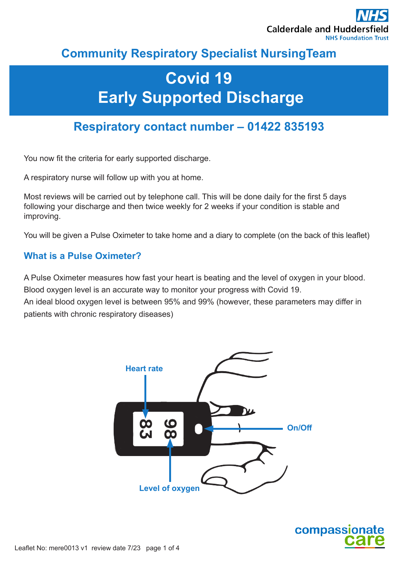

## **Community Respiratory Specialist NursingTeam**

# **Covid 19 Early Supported Discharge**

## **Respiratory contact number – 01422 835193**

You now fit the criteria for early supported discharge.

A respiratory nurse will follow up with you at home.

Most reviews will be carried out by telephone call. This will be done daily for the first 5 days following your discharge and then twice weekly for 2 weeks if your condition is stable and improving.

You will be given a Pulse Oximeter to take home and a diary to complete (on the back of this leaflet)

#### **What is a Pulse Oximeter?**

A Pulse Oximeter measures how fast your heart is beating and the level of oxygen in your blood. Blood oxygen level is an accurate way to monitor your progress with Covid 19.

An ideal blood oxygen level is between 95% and 99% (however, these parameters may differ in patients with chronic respiratory diseases)



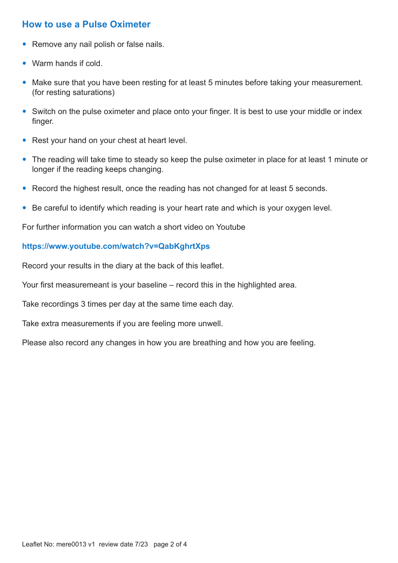#### **How to use a Pulse Oximeter**

- Remove any nail polish or false nails.
- Warm hands if cold.
- Make sure that you have been resting for at least 5 minutes before taking your measurement. (for resting saturations)
- Switch on the pulse oximeter and place onto your finger. It is best to use your middle or index finger.
- Rest your hand on your chest at heart level.
- The reading will take time to steady so keep the pulse oximeter in place for at least 1 minute or longer if the reading keeps changing.
- Record the highest result, once the reading has not changed for at least 5 seconds.
- Be careful to identify which reading is your heart rate and which is your oxygen level.

For further information you can watch a short video on Youtube

#### **https://www.youtube.com/watch?v=QabKghrtXps**

Record your results in the diary at the back of this leaflet.

Your first measuremeant is your baseline – record this in the highlighted area.

Take recordings 3 times per day at the same time each day.

Take extra measurements if you are feeling more unwell.

Please also record any changes in how you are breathing and how you are feeling.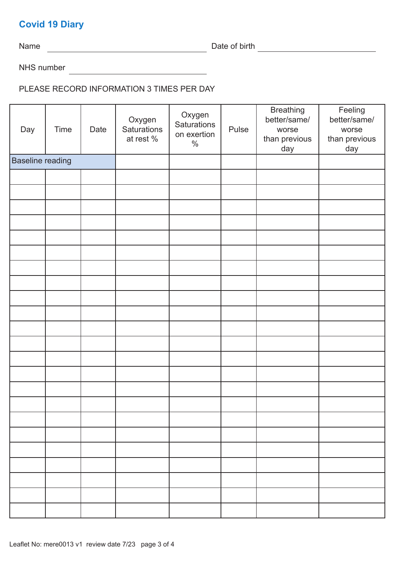### **Covid 19 Diary**

Name Date of birth

NHS number

PLEASE RECORD INFORMATION 3 TIMES PER DAY

| Day                     | Time | Date | Oxygen<br>Saturations<br>at rest % | Oxygen<br>Saturations<br>on exertion<br>$\%$ | Pulse | <b>Breathing</b><br>better/same/<br>worse<br>than previous<br>day | Feeling<br>better/same/<br>worse<br>than previous<br>day |
|-------------------------|------|------|------------------------------------|----------------------------------------------|-------|-------------------------------------------------------------------|----------------------------------------------------------|
| <b>Baseline reading</b> |      |      |                                    |                                              |       |                                                                   |                                                          |
|                         |      |      |                                    |                                              |       |                                                                   |                                                          |
|                         |      |      |                                    |                                              |       |                                                                   |                                                          |
|                         |      |      |                                    |                                              |       |                                                                   |                                                          |
|                         |      |      |                                    |                                              |       |                                                                   |                                                          |
|                         |      |      |                                    |                                              |       |                                                                   |                                                          |
|                         |      |      |                                    |                                              |       |                                                                   |                                                          |
|                         |      |      |                                    |                                              |       |                                                                   |                                                          |
|                         |      |      |                                    |                                              |       |                                                                   |                                                          |
|                         |      |      |                                    |                                              |       |                                                                   |                                                          |
|                         |      |      |                                    |                                              |       |                                                                   |                                                          |
|                         |      |      |                                    |                                              |       |                                                                   |                                                          |
|                         |      |      |                                    |                                              |       |                                                                   |                                                          |
|                         |      |      |                                    |                                              |       |                                                                   |                                                          |
|                         |      |      |                                    |                                              |       |                                                                   |                                                          |
|                         |      |      |                                    |                                              |       |                                                                   |                                                          |
|                         |      |      |                                    |                                              |       |                                                                   |                                                          |
|                         |      |      |                                    |                                              |       |                                                                   |                                                          |
|                         |      |      |                                    |                                              |       |                                                                   |                                                          |
|                         |      |      |                                    |                                              |       |                                                                   |                                                          |
|                         |      |      |                                    |                                              |       |                                                                   |                                                          |
|                         |      |      |                                    |                                              |       |                                                                   |                                                          |
|                         |      |      |                                    |                                              |       |                                                                   |                                                          |
|                         |      |      |                                    |                                              |       |                                                                   |                                                          |